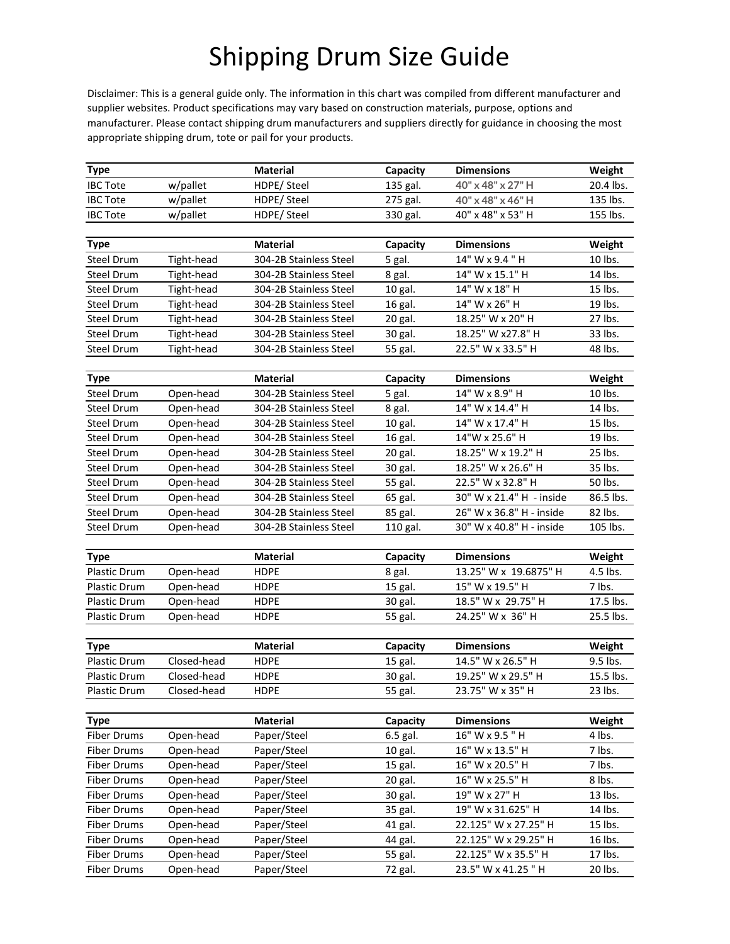## Shipping Drum Size Guide

Disclaimer: This is a general guide only. The information in this chart was compiled from different manufacturer and supplier websites. Product specifications may vary based on construction materials, purpose, options and manufacturer. Please contact shipping drum manufacturers and suppliers directly for guidance in choosing the most appropriate shipping drum, tote or pail for your products.

| <b>Type</b>              |             | <b>Material</b>        | Capacity           | <b>Dimensions</b>                     | Weight             |
|--------------------------|-------------|------------------------|--------------------|---------------------------------------|--------------------|
| <b>IBC Tote</b>          | w/pallet    | HDPE/ Steel            | 135 gal.           | 40" x 48" x 27" H                     | 20.4 lbs.          |
| <b>IBC Tote</b>          | w/pallet    | HDPE/ Steel            | 275 gal.           | 40" x 48" x 46" H                     | 135 lbs.           |
| <b>IBC Tote</b>          | w/pallet    | HDPE/ Steel            | 330 gal.           | 40" x 48" x 53" H                     | 155 lbs.           |
|                          |             |                        |                    |                                       |                    |
| <b>Type</b>              |             | <b>Material</b>        | Capacity           | <b>Dimensions</b>                     | Weight             |
| Steel Drum               | Tight-head  | 304-2B Stainless Steel | 5 gal.             | $14"$ W x 9.4 "H                      | 10 lbs.            |
| Steel Drum               | Tight-head  | 304-2B Stainless Steel | 8 gal.             | 14" W x 15.1" H                       | 14 lbs.            |
| Steel Drum               | Tight-head  | 304-2B Stainless Steel | 10 gal.            | 14" W x 18" H                         | 15 lbs.            |
| Steel Drum               | Tight-head  | 304-2B Stainless Steel | 16 gal.            | 14" W x 26" H                         | 19 lbs.            |
| Steel Drum               | Tight-head  | 304-2B Stainless Steel | 20 gal.<br>30 gal. | 18.25" W x 20" H<br>18.25" W x27.8" H | 27 lbs.<br>33 lbs. |
| Steel Drum               | Tight-head  | 304-2B Stainless Steel |                    |                                       |                    |
| Steel Drum<br>Tight-head |             | 304-2B Stainless Steel | 55 gal.            | 22.5" W x 33.5" H                     | 48 lbs.            |
|                          |             |                        |                    |                                       |                    |
| <b>Type</b>              |             | <b>Material</b>        | Capacity           | <b>Dimensions</b>                     | Weight             |
| Steel Drum               | Open-head   | 304-2B Stainless Steel | 5 gal.             | 14" W x 8.9" H                        | 10 lbs.            |
| <b>Steel Drum</b>        | Open-head   | 304-2B Stainless Steel | 8 gal.             | 14" W x 14.4" H                       | 14 lbs.            |
| Steel Drum               | Open-head   | 304-2B Stainless Steel | 10 gal.            | 14" W x 17.4" H                       | 15 lbs.            |
| Steel Drum               | Open-head   | 304-2B Stainless Steel | 16 gal.            | 14"W x 25.6" H                        | 19 lbs.            |
| Steel Drum               | Open-head   | 304-2B Stainless Steel | 20 gal.            | 18.25" W x 19.2" H                    | 25 lbs.            |
| Steel Drum               | Open-head   | 304-2B Stainless Steel | 30 gal.            | 18.25" W x 26.6" H                    | 35 lbs.            |
| Steel Drum               | Open-head   | 304-2B Stainless Steel | 55 gal.            | 22.5" W x 32.8" H                     | 50 lbs.            |
| <b>Steel Drum</b>        | Open-head   | 304-2B Stainless Steel | 65 gal.            | 30" W x 21.4" H - inside              | 86.5 lbs.          |
| Steel Drum               | Open-head   | 304-2B Stainless Steel | 85 gal.            | 26" W x 36.8" H - inside              | 82 lbs.            |
| Steel Drum               | Open-head   | 304-2B Stainless Steel | 110 gal.           | 30" W x 40.8" H - inside              | 105 lbs.           |
| <b>Type</b>              |             | <b>Material</b>        | Capacity           | <b>Dimensions</b>                     | Weight             |
| Plastic Drum             | Open-head   | <b>HDPE</b>            | 8 gal.             | 13.25" W x 19.6875" H                 | 4.5 lbs.           |
| Plastic Drum             | Open-head   | <b>HDPE</b>            | 15 gal.            | 15" W x 19.5" H                       | 7 lbs.             |
| Plastic Drum             | Open-head   | <b>HDPE</b>            | 30 gal.            | 18.5" W x 29.75" H                    | 17.5 lbs.          |
| Plastic Drum             | Open-head   | <b>HDPE</b>            | 55 gal.            | 24.25" W x 36" H                      | 25.5 lbs.          |
|                          |             |                        |                    |                                       |                    |
| Type                     |             | <b>Material</b>        | Capacity           | <b>Dimensions</b>                     | Weight             |
| Plastic Drum             | Closed-head | <b>HDPE</b>            | 15 gal.            | 14.5" W x 26.5" H                     | 9.5 lbs.           |
| Plastic Drum             | Closed-head | <b>HDPE</b>            | 30 gal.            | 19.25" W x 29.5" H                    | 15.5 lbs.          |
| Plastic Drum             | Closed-head | <b>HDPE</b>            | 55 gal.            | 23.75" W x 35" H                      | 23 lbs.            |
|                          |             |                        |                    |                                       |                    |
| <b>Type</b>              |             | <b>Material</b>        | Capacity           | <b>Dimensions</b>                     | Weight             |
| <b>Fiber Drums</b>       | Open-head   | Paper/Steel            | 6.5 gal.           | 16" W x 9.5 " H                       | 4 lbs.             |
| <b>Fiber Drums</b>       | Open-head   | Paper/Steel            | 10 gal.            | 16" W x 13.5" H                       | 7 lbs.             |
| <b>Fiber Drums</b>       | Open-head   | Paper/Steel            | 15 gal.            | 16" W x 20.5" H                       | 7 lbs.             |
| <b>Fiber Drums</b>       | Open-head   | Paper/Steel            | 20 gal.            | 16" W x 25.5" H                       | 8 lbs.             |
| <b>Fiber Drums</b>       | Open-head   | Paper/Steel            | 30 gal.            | 19" W x 27" H                         | 13 lbs.            |
| <b>Fiber Drums</b>       | Open-head   | Paper/Steel            | 35 gal.            | 19" W x 31.625" H                     | 14 lbs.            |
| <b>Fiber Drums</b>       | Open-head   | Paper/Steel            | 41 gal.            | 22.125" W x 27.25" H                  | 15 lbs.            |
| <b>Fiber Drums</b>       | Open-head   | Paper/Steel            | 44 gal.            | 22.125" W x 29.25" H                  | 16 lbs.            |
| <b>Fiber Drums</b>       | Open-head   | Paper/Steel            | 55 gal.            | 22.125" W x 35.5" H                   | 17 lbs.            |
| <b>Fiber Drums</b>       | Open-head   | Paper/Steel            | 72 gal.            | 23.5" W x 41.25 " H                   | 20 lbs.            |